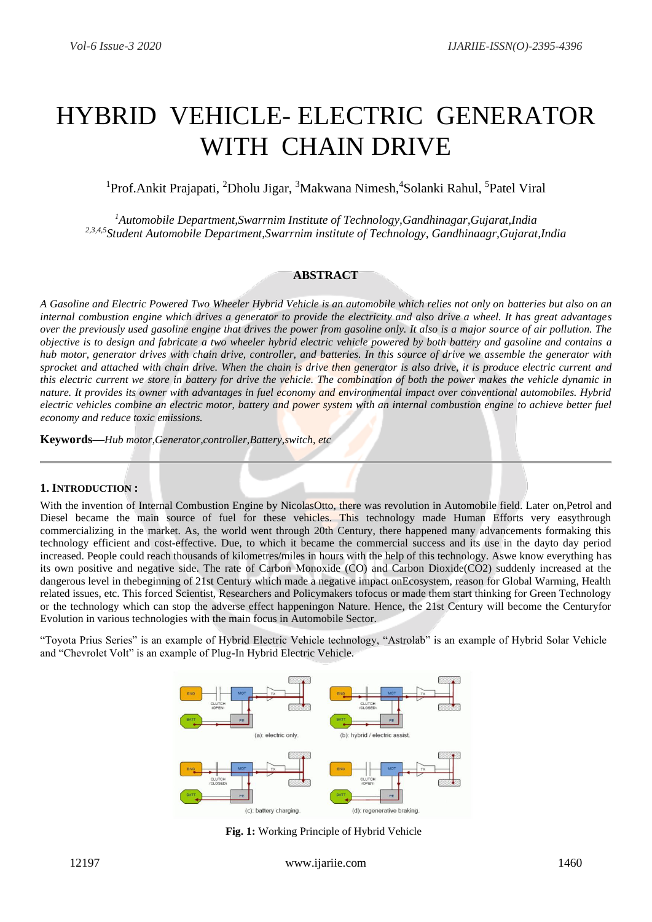# HYBRID VEHICLE- ELECTRIC GENERATOR WITH CHAIN DRIVE

<sup>1</sup>Prof.Ankit Prajapati, <sup>2</sup>Dholu Jigar, <sup>3</sup>Makwana Nimesh, <sup>4</sup>Solanki Rahul, <sup>5</sup>Patel Viral

*<sup>1</sup>Automobile Department,Swarrnim Institute of Technology,Gandhinagar,Gujarat,India 2,3,4,5Student Automobile Department,Swarrnim institute of Technology, Gandhinaagr,Gujarat,India*

## **ABSTRACT**

*A Gasoline and Electric Powered Two Wheeler Hybrid Vehicle is an automobile which relies not only on batteries but also on an internal combustion engine which drives a generator to provide the electricity and also drive a wheel. It has great advantages over the previously used gasoline engine that drives the power from gasoline only. It also is a major source of air pollution. The objective is to design and fabricate a two wheeler hybrid electric vehicle powered by both battery and gasoline and contains a hub motor, generator drives with chain drive, controller, and batteries. In this source of drive we assemble the generator with sprocket and attached with chain drive. When the chain is drive then generator is also drive, it is produce electric current and this electric current we store in battery for drive the vehicle. The combination of both the power makes the vehicle dynamic in nature. It provides its owner with advantages in fuel economy and environmental impact over conventional automobiles. Hybrid electric vehicles combine an electric motor, battery and power system with an internal combustion engine to achieve better fuel economy and reduce toxic emissions.*

**Keywords—***Hub motor,Generator,controller,Battery,switch, etc*

## **1. INTRODUCTION :**

With the invention of Internal Combustion Engine by NicolasOtto, there was revolution in Automobile field. Later on,Petrol and Diesel became the main source of fuel for these vehicles. This technology made Human Efforts very easythrough commercializing in the market. As, the world went through 20th Century, there happened many advancements formaking this technology efficient and cost-effective. Due, to which it became the commercial success and its use in the dayto day period increased. People could reach thousands of kilometres/miles in hours with the help of this technology. Aswe know everything has its own positive and negative side. The rate of Carbon Monoxide (CO) and Carbon Dioxide(CO2) suddenly increased at the dangerous level in thebeginning of 21st Century which made a negative impact onEcosystem, reason for Global Warming, Health related issues, etc. This forced Scientist, Researchers and Policymakers tofocus or made them start thinking for Green Technology or the technology which can stop the adverse effect happeningon Nature. Hence, the 21st Century will become the Centuryfor Evolution in various technologies with the main focus in Automobile Sector.

"Toyota Prius Series" is an example of Hybrid Electric Vehicle technology, "Astrolab" is an example of Hybrid Solar Vehicle and "Chevrolet Volt" is an example of Plug-In Hybrid Electric Vehicle.



**Fig. 1:** Working Principle of Hybrid Vehicle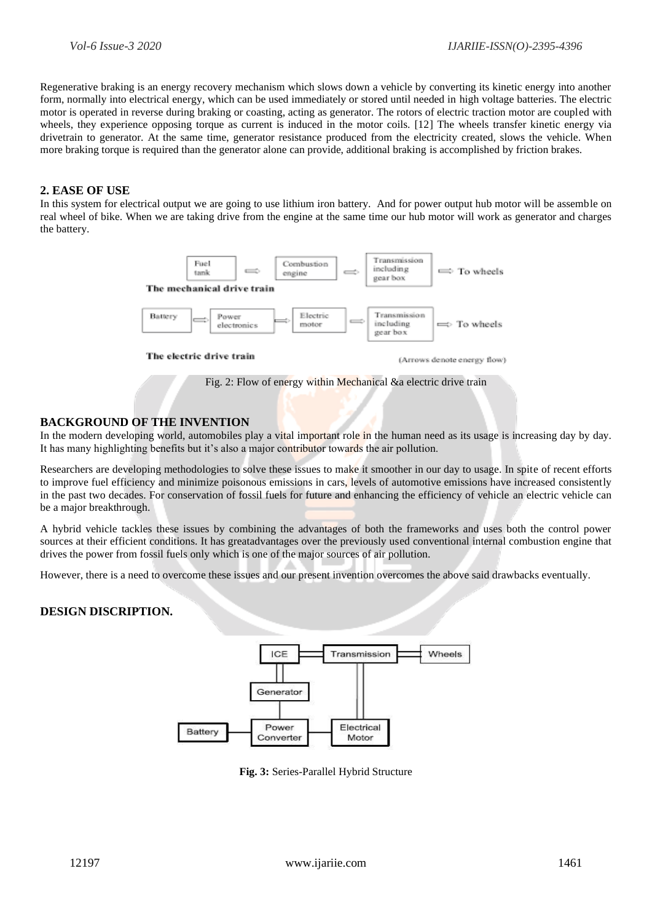Regenerative braking is an energy recovery mechanism which slows down a vehicle by converting its kinetic energy into another form, normally into electrical energy, which can be used immediately or stored until needed in high voltage batteries. The electric motor is operated in reverse during braking or coasting, acting as generator. The rotors of electric traction motor are coupled with wheels, they experience opposing torque as current is induced in the motor coils. [12] The wheels transfer kinetic energy via drivetrain to generator. At the same time, generator resistance produced from the electricity created, slows the vehicle. When more braking torque is required than the generator alone can provide, additional braking is accomplished by friction brakes.

### **2. EASE OF USE**

In this system for electrical output we are going to use lithium iron battery. And for power output hub motor will be assemble on real wheel of bike. When we are taking drive from the engine at the same time our hub motor will work as generator and charges the battery.



The electric drive train

(Arrows denote energy flow)

Fig. 2: Flow of energy within Mechanical &a electric drive train

## **BACKGROUND OF THE INVENTION**

In the modern developing world, automobiles play a vital important role in the human need as its usage is increasing day by day. It has many highlighting benefits but it's also a major contributor towards the air pollution.

Researchers are developing methodologies to solve these issues to make it smoother in our day to usage. In spite of recent efforts to improve fuel efficiency and minimize poisonous emissions in cars, levels of automotive emissions have increased consistently in the past two decades. For conservation of fossil fuels for future and enhancing the efficiency of vehicle an electric vehicle can be a major breakthrough.

A hybrid vehicle tackles these issues by combining the advantages of both the frameworks and uses both the control power sources at their efficient conditions. It has greatadvantages over the previously used conventional internal combustion engine that drives the power from fossil fuels only which is one of the major sources of air pollution.

However, there is a need to overcome these issues and our present invention overcomes the above said drawbacks eventually.

# **DESIGN DISCRIPTION.**



**Fig. 3:** Series-Parallel Hybrid Structure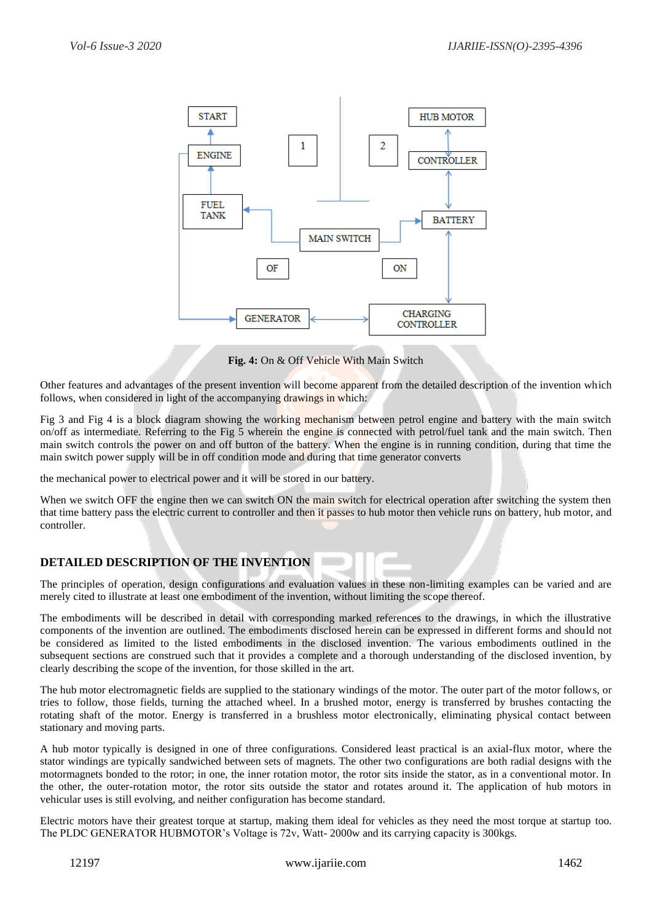

**Fig. 4:** On & Off Vehicle With Main Switch

Other features and advantages of the present invention will become apparent from the detailed description of the invention which follows, when considered in light of the accompanying drawings in which:

Fig 3 and Fig 4 is a block diagram showing the working mechanism between petrol engine and battery with the main switch on/off as intermediate. Referring to the Fig 5 wherein the engine is connected with petrol/fuel tank and the main switch. Then main switch controls the power on and off button of the battery. When the engine is in running condition, during that time the main switch power supply will be in off condition mode and during that time generator converts

the mechanical power to electrical power and it will be stored in our battery.

When we switch OFF the engine then we can switch ON the main switch for electrical operation after switching the system then that time battery pass the electric current to controller and then it passes to hub motor then vehicle runs on battery, hub motor, and controller.

# **DETAILED DESCRIPTION OF THE INVENTION**

The principles of operation, design configurations and evaluation values in these non-limiting examples can be varied and are merely cited to illustrate at least one embodiment of the invention, without limiting the scope thereof.

The embodiments will be described in detail with corresponding marked references to the drawings, in which the illustrative components of the invention are outlined. The embodiments disclosed herein can be expressed in different forms and should not be considered as limited to the listed embodiments in the disclosed invention. The various embodiments outlined in the subsequent sections are construed such that it provides a complete and a thorough understanding of the disclosed invention, by clearly describing the scope of the invention, for those skilled in the art.

The hub motor electromagnetic fields are supplied to the stationary windings of the motor. The outer part of the motor follows, or tries to follow, those fields, turning the attached wheel. In a brushed motor, energy is transferred by brushes contacting the rotating shaft of the motor. Energy is transferred in a brushless motor electronically, eliminating physical contact between stationary and moving parts.

A hub motor typically is designed in one of three configurations. Considered least practical is an axial-flux motor, where the stator windings are typically sandwiched between sets of magnets. The other two configurations are both radial designs with the motormagnets bonded to the rotor; in one, the inner rotation motor, the rotor sits inside the stator, as in a conventional motor. In the other, the outer-rotation motor, the rotor sits outside the stator and rotates around it. The application of hub motors in vehicular uses is still evolving, and neither configuration has become standard.

Electric motors have their greatest torque at startup, making them ideal for vehicles as they need the most torque at startup too. The PLDC GENERATOR HUBMOTOR's Voltage is 72v, Watt- 2000w and its carrying capacity is 300kgs.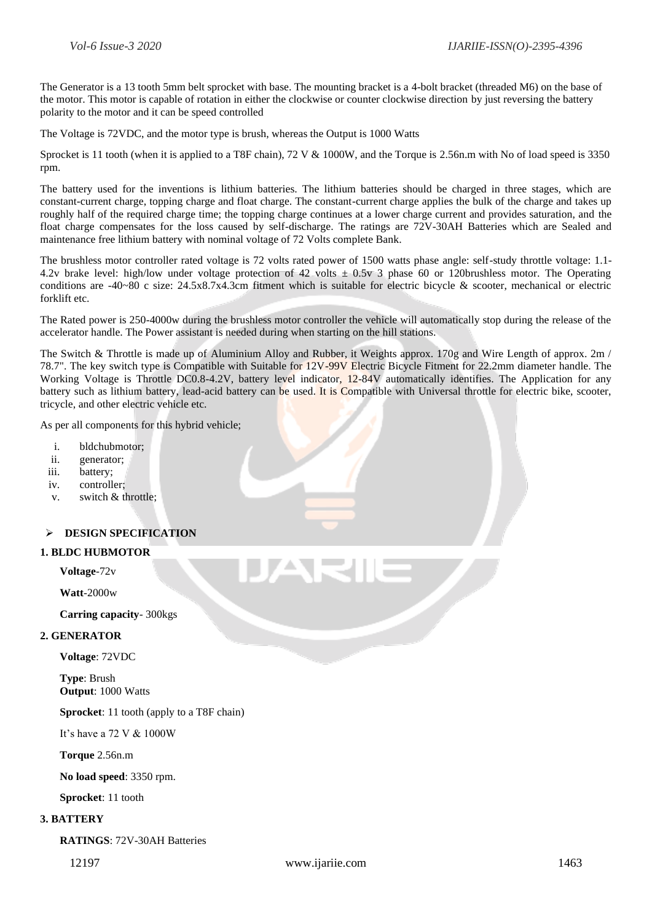The Generator is a 13 tooth 5mm belt sprocket with base. The mounting bracket is a 4-bolt bracket (threaded M6) on the base of the motor. This motor is capable of rotation in either the clockwise or counter clockwise direction by just reversing the battery polarity to the motor and it can be speed controlled

The Voltage is 72VDC, and the motor type is brush, whereas the Output is 1000 Watts

Sprocket is 11 tooth (when it is applied to a T8F chain), 72 V & 1000W, and the Torque is 2.56n.m with No of load speed is 3350 rpm.

The battery used for the inventions is lithium batteries. The lithium batteries should be charged in three stages, which are constant-current charge, topping charge and float charge. The constant-current charge applies the bulk of the charge and takes up roughly half of the required charge time; the topping charge continues at a lower charge current and provides saturation, and the float charge compensates for the loss caused by self-discharge. The ratings are 72V-30AH Batteries which are Sealed and maintenance free lithium battery with nominal voltage of 72 Volts complete Bank.

The brushless motor controller rated voltage is 72 volts rated power of 1500 watts phase angle: self-study throttle voltage: 1.1- 4.2v brake level: high/low under voltage protection of 42 volts  $\pm$  0.5v 3 phase 60 or 120brushless motor. The Operating conditions are -40~80 c size: 24.5x8.7x4.3cm fitment which is suitable for electric bicycle & scooter, mechanical or electric forklift etc.

The Rated power is 250-4000w during the brushless motor controller the vehicle will automatically stop during the release of the accelerator handle. The Power assistant is needed during when starting on the hill stations.

The Switch & Throttle is made up of Aluminium Alloy and Rubber, it Weights approx. 170g and Wire Length of approx. 2m / 78.7". The key switch type is Compatible with Suitable for 12V-99V Electric Bicycle Fitment for 22.2mm diameter handle. The Working Voltage is Throttle DC0.8-4.2V, battery level indicator, 12-84V automatically identifies. The Application for any battery such as lithium battery, lead-acid battery can be used. It is Compatible with Universal throttle for electric bike, scooter, tricycle, and other electric vehicle etc.

As per all components for this hybrid vehicle;

- i. bldchubmotor;
- ii. generator;
- iii. battery;
- iv. controller;
- v. switch & throttle;

# ➢ **DESIGN SPECIFICATION**

#### **1. BLDC HUBMOTOR**

**Voltage**-72v

**Watt**-2000w

**Carring capacity**- 300kgs

#### **2. GENERATOR**

**Voltage**: 72VDC

**Type**: Brush **Output**: 1000 Watts

**Sprocket**: 11 tooth (apply to a T8F chain)

It's have a 72 V & 1000W

**Torque** 2.56n.m

**No load speed**: 3350 rpm.

**Sprocket**: 11 tooth

#### **3. BATTERY**

**RATINGS**: 72V-30AH Batteries